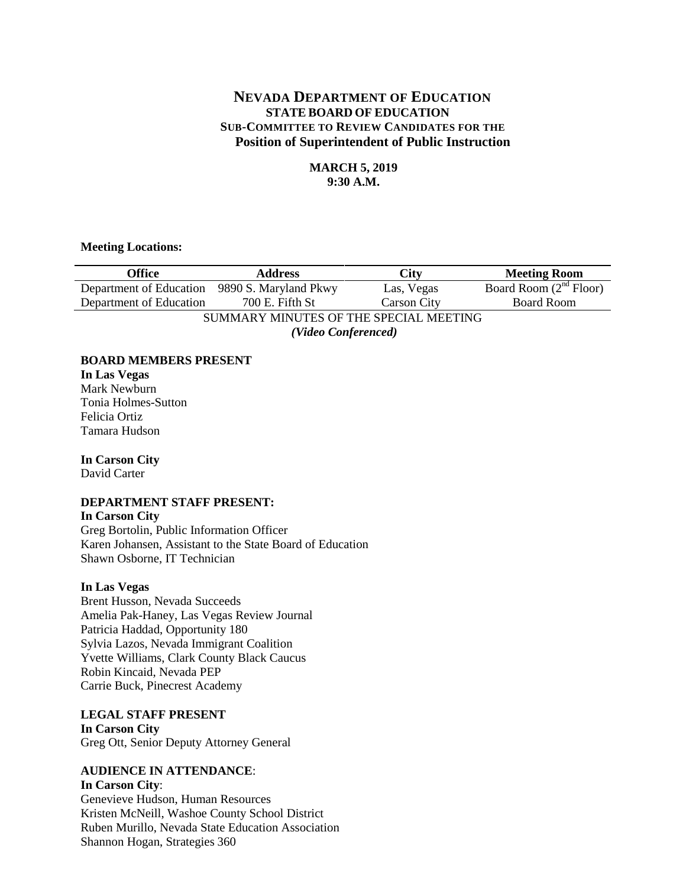# **NEVADA DEPARTMENT OF EDUCATION STATE BOARD OF EDUCATION SUB-COMMITTEE TO REVIEW CANDIDATES FOR THE Position of Superintendent of Public Instruction**

## **MARCH 5, 2019 9:30 A.M.**

#### **Meeting Locations:**

| Office                                        | <b>Address</b>  | <b>City</b>        | <b>Meeting Room</b>      |
|-----------------------------------------------|-----------------|--------------------|--------------------------|
| Department of Education 9890 S. Maryland Pkwy |                 | Las, Vegas         | Board Room $(2nd$ Floor) |
| Department of Education                       | 700 E. Fifth St | <b>Carson City</b> | <b>Board Room</b>        |
| SUMMARY MINUTES OF THE SPECIAL MEETING        |                 |                    |                          |
| (Video Conferenced)                           |                 |                    |                          |

#### **BOARD MEMBERS PRESENT**

#### **In Las Vegas** Mark Newburn Tonia Holmes-Sutton Felicia Ortiz Tamara Hudson

# **In Carson City**

David Carter

## **DEPARTMENT STAFF PRESENT:**

### **In Carson City**

Greg Bortolin, Public Information Officer Karen Johansen, Assistant to the State Board of Education Shawn Osborne, IT Technician

## **In Las Vegas**

Brent Husson, Nevada Succeeds Amelia Pak-Haney, Las Vegas Review Journal Patricia Haddad, Opportunity 180 Sylvia Lazos, Nevada Immigrant Coalition Yvette Williams, Clark County Black Caucus Robin Kincaid, Nevada PEP Carrie Buck, Pinecrest Academy

**LEGAL STAFF PRESENT In Carson City** Greg Ott, Senior Deputy Attorney General

## **AUDIENCE IN ATTENDANCE**:

## **In Carson City**: Genevieve Hudson, Human Resources Kristen McNeill, Washoe County School District Ruben Murillo, Nevada State Education Association Shannon Hogan, Strategies 360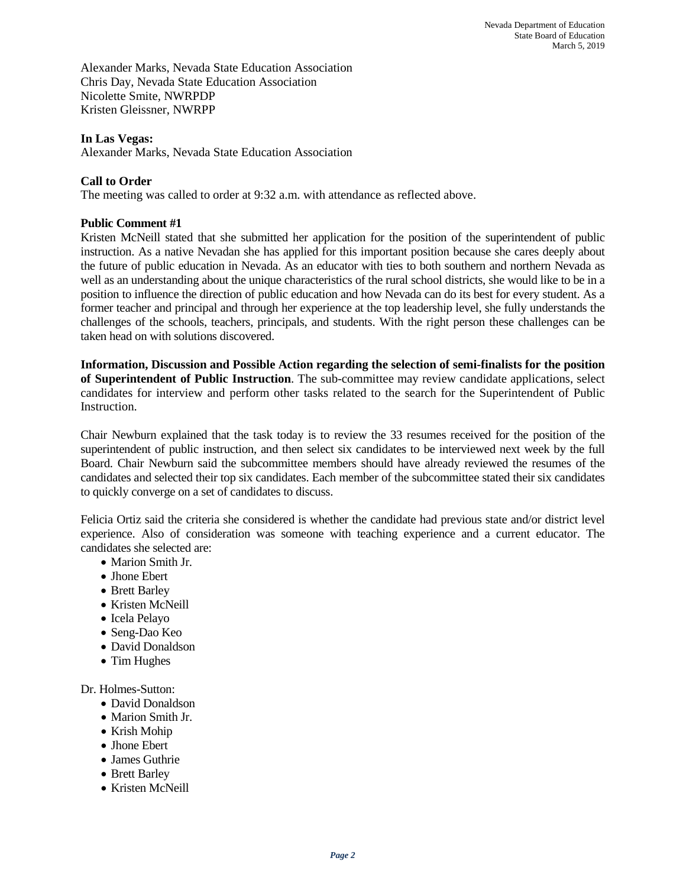Alexander Marks, Nevada State Education Association Chris Day, Nevada State Education Association Nicolette Smite, NWRPDP Kristen Gleissner, NWRPP

#### **In Las Vegas:**

Alexander Marks, Nevada State Education Association

## **Call to Order**

The meeting was called to order at 9:32 a.m. with attendance as reflected above.

#### **Public Comment #1**

Kristen McNeill stated that she submitted her application for the position of the superintendent of public instruction. As a native Nevadan she has applied for this important position because she cares deeply about the future of public education in Nevada. As an educator with ties to both southern and northern Nevada as well as an understanding about the unique characteristics of the rural school districts, she would like to be in a position to influence the direction of public education and how Nevada can do its best for every student. As a former teacher and principal and through her experience at the top leadership level, she fully understands the challenges of the schools, teachers, principals, and students. With the right person these challenges can be taken head on with solutions discovered.

**Information, Discussion and Possible Action regarding the selection of semi-finalists for the position of Superintendent of Public Instruction**. The sub-committee may review candidate applications, select candidates for interview and perform other tasks related to the search for the Superintendent of Public Instruction.

Chair Newburn explained that the task today is to review the 33 resumes received for the position of the superintendent of public instruction, and then select six candidates to be interviewed next week by the full Board. Chair Newburn said the subcommittee members should have already reviewed the resumes of the candidates and selected their top six candidates. Each member of the subcommittee stated their six candidates to quickly converge on a set of candidates to discuss.

Felicia Ortiz said the criteria she considered is whether the candidate had previous state and/or district level experience. Also of consideration was someone with teaching experience and a current educator. The candidates she selected are:

- Marion Smith Jr.
- Jhone Ebert
- Brett Barley
- Kristen McNeill
- Icela Pelayo
- Seng-Dao Keo
- David Donaldson
- Tim Hughes

Dr. Holmes-Sutton:

- David Donaldson
- Marion Smith Jr.
- Krish Mohip
- Jhone Ebert
- James Guthrie
- Brett Barley
- Kristen McNeill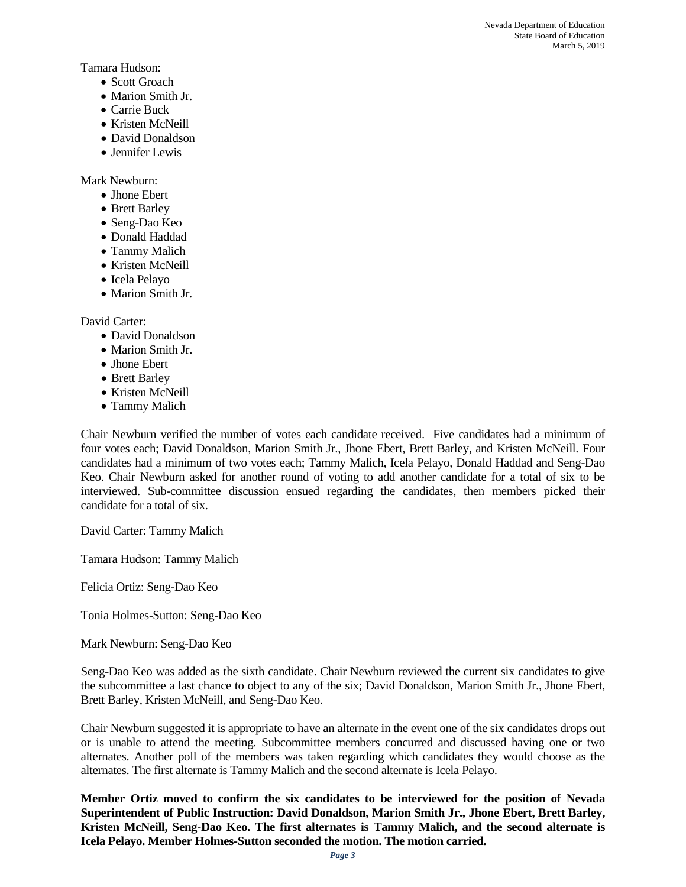Tamara Hudson:

- Scott Groach
- Marion Smith Jr.
- Carrie Buck
- Kristen McNeill
- David Donaldson
- Jennifer Lewis

Mark Newburn:

- Jhone Ebert
- Brett Barley
- Seng-Dao Keo
- Donald Haddad
- Tammy Malich
- Kristen McNeill
- Icela Pelayo
- Marion Smith Jr.

David Carter:

- David Donaldson
- Marion Smith Jr.
- Jhone Ebert
- Brett Barley
- Kristen McNeill
- Tammy Malich

Chair Newburn verified the number of votes each candidate received. Five candidates had a minimum of four votes each; David Donaldson, Marion Smith Jr., Jhone Ebert, Brett Barley, and Kristen McNeill. Four candidates had a minimum of two votes each; Tammy Malich, Icela Pelayo, Donald Haddad and Seng-Dao Keo. Chair Newburn asked for another round of voting to add another candidate for a total of six to be interviewed. Sub-committee discussion ensued regarding the candidates, then members picked their candidate for a total of six.

David Carter: Tammy Malich

Tamara Hudson: Tammy Malich

Felicia Ortiz: Seng-Dao Keo

Tonia Holmes-Sutton: Seng-Dao Keo

Mark Newburn: Seng-Dao Keo

Seng-Dao Keo was added as the sixth candidate. Chair Newburn reviewed the current six candidates to give the subcommittee a last chance to object to any of the six; David Donaldson, Marion Smith Jr., Jhone Ebert, Brett Barley, Kristen McNeill, and Seng-Dao Keo.

Chair Newburn suggested it is appropriate to have an alternate in the event one of the six candidates drops out or is unable to attend the meeting. Subcommittee members concurred and discussed having one or two alternates. Another poll of the members was taken regarding which candidates they would choose as the alternates. The first alternate is Tammy Malich and the second alternate is Icela Pelayo.

**Member Ortiz moved to confirm the six candidates to be interviewed for the position of Nevada Superintendent of Public Instruction: David Donaldson, Marion Smith Jr., Jhone Ebert, Brett Barley, Kristen McNeill, Seng-Dao Keo. The first alternates is Tammy Malich, and the second alternate is Icela Pelayo. Member Holmes-Sutton seconded the motion. The motion carried.**